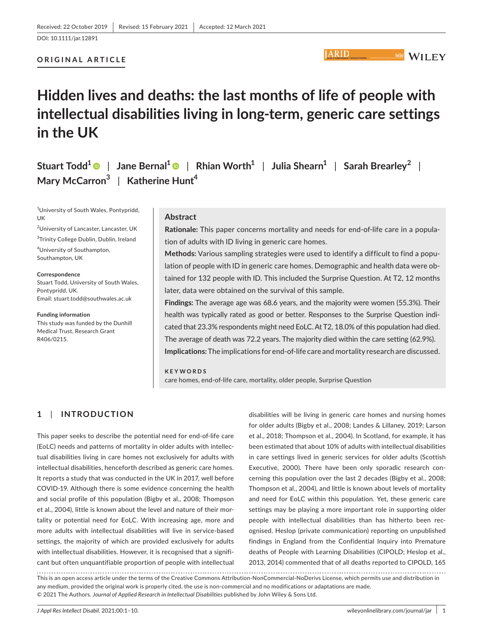DOI: 10.1111/jar.12891

#### **ORIGINAL ARTICLE**

# **Hidden lives and deaths: the last months of life of people with intellectual disabilities living in long-term, generic care settings in the UK**

**Stuart Todd<sup>1</sup>** | **Jane Bernal[1](https://orcid.org/0000-0003-0104-8439)** | **Rhian Worth<sup>1</sup>** | **Julia Shearn<sup>1</sup>** | **Sarah Brearley<sup>2</sup>** | **Mary McCarron<sup>3</sup>** | **Katherine Hunt<sup>4</sup>**

<sup>1</sup>University of South Wales, Pontypridd, UK

2 University of Lancaster, Lancaster, UK <sup>3</sup>Trinity College Dublin, Dublin, Ireland

4 University of Southampton, Southampton, UK

**Correspondence** Stuart Todd, University of South Wales, Pontypridd, UK. Email: [stuart.todd@southwales.ac.uk](mailto:stuart.todd@southwales.ac.uk)

**Funding information**

This study was funded by the Dunhill Medical Trust, Research Grant R406/0215.

## **Abstract**

**Rationale:** This paper concerns mortality and needs for end-of-life care in a population of adults with ID living in generic care homes.

**IARID** 

**Methods:** Various sampling strategies were used to identify a difficult to find a population of people with ID in generic care homes. Demographic and health data were obtained for 132 people with ID. This included the Surprise Question. At T2, 12 months later, data were obtained on the survival of this sample.

**Findings:** The average age was 68.6 years, and the majority were women (55.3%). Their health was typically rated as good or better. Responses to the Surprise Question indicated that 23.3% respondents might need EoLC. At T2, 18.0% of this population had died. The average of death was 72.2 years. The majority died within the care setting (62.9%). **Implications:** The implications for end-of-life care and mortality research are discussed.

**KEYWORDS** care homes, end-of-life care, mortality, older people, Surprise Question

## **1**  | **INTRODUCTION**

This paper seeks to describe the potential need for end-of-life care (EoLC) needs and patterns of mortality in older adults with intellectual disabilities living in care homes not exclusively for adults with intellectual disabilities, henceforth described as generic care homes. It reports a study that was conducted in the UK in 2017, well before COVID-19. Although there is some evidence concerning the health and social profile of this population (Bigby et al., 2008; Thompson et al., 2004), little is known about the level and nature of their mortality or potential need for EoLC. With increasing age, more and more adults with intellectual disabilities will live in service-based settings, the majority of which are provided exclusively for adults with intellectual disabilities. However, it is recognised that a significant but often unquantifiable proportion of people with intellectual disabilities will be living in generic care homes and nursing homes for older adults (Bigby et al., 2008; Landes & Lillaney, 2019; Larson et al., 2018; Thompson et al., 2004). In Scotland, for example, it has been estimated that about 10% of adults with intellectual disabilities in care settings lived in generic services for older adults (Scottish Executive, 2000). There have been only sporadic research concerning this population over the last 2 decades (Bigby et al., 2008; Thompson et al., 2004), and little is known about levels of mortality and need for EoLC within this population. Yet, these generic care settings may be playing a more important role in supporting older people with intellectual disabilities than has hitherto been recognised. Heslop (private communication) reporting on unpublished findings in England from the Confidential Inquiry into Premature deaths of People with Learning Disabilities (CIPOLD; Heslop et al., 2013, 2014) commented that of all deaths reported to CIPOLD, 165

This is an open access article under the terms of the [Creative Commons Attribution-NonCommercial-NoDerivs](http://creativecommons.org/licenses/by-nc-nd/4.0/) License, which permits use and distribution in any medium, provided the original work is properly cited, the use is non-commercial and no modifications or adaptations are made. © 2021 The Authors. *Journal of Applied Research in Intellectual Disabilities* published by John Wiley & Sons Ltd.

**Publish Institute Of LEA**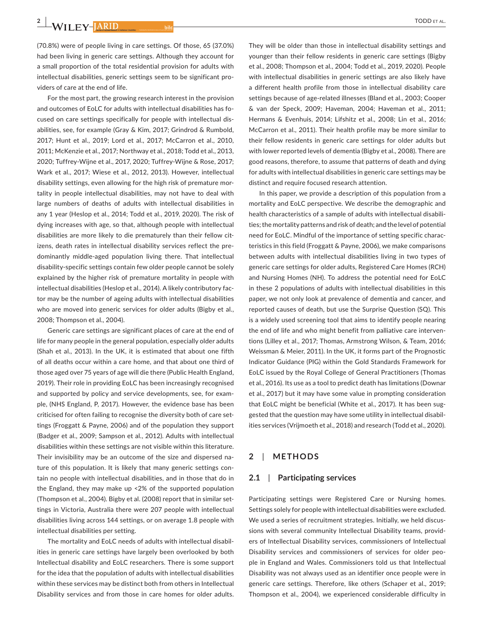**2 <sup>|</sup>** 

(70.8%) were of people living in care settings. Of those, 65 (37.0%) had been living in generic care settings. Although they account for a small proportion of the total residential provision for adults with intellectual disabilities, generic settings seem to be significant providers of care at the end of life.

For the most part, the growing research interest in the provision and outcomes of EoLC for adults with intellectual disabilities has focused on care settings specifically for people with intellectual disabilities, see, for example (Gray & Kim, 2017; Grindrod & Rumbold, 2017; Hunt et al., 2019; Lord et al., 2017; McCarron et al., 2010, 2011; McKenzie et al., 2017; Northway et al., 2018; Todd et al., 2013, 2020; Tuffrey-Wijne et al., 2017, 2020; Tuffrey-Wijne & Rose, 2017; Wark et al., 2017; Wiese et al., 2012, 2013). However, intellectual disability settings, even allowing for the high risk of premature mortality in people intellectual disabilities, may not have to deal with large numbers of deaths of adults with intellectual disabilities in any 1 year (Heslop et al., 2014; Todd et al., 2019, 2020). The risk of dying increases with age, so that, although people with intellectual disabilities are more likely to die prematurely than their fellow citizens, death rates in intellectual disability services reflect the predominantly middle-aged population living there. That intellectual disability-specific settings contain few older people cannot be solely explained by the higher risk of premature mortality in people with intellectual disabilities (Heslop et al., 2014). A likely contributory factor may be the number of ageing adults with intellectual disabilities who are moved into generic services for older adults (Bigby et al., 2008; Thompson et al., 2004).

Generic care settings are significant places of care at the end of life for many people in the general population, especially older adults (Shah et al., 2013). In the UK, it is estimated that about one fifth of all deaths occur within a care home, and that about one third of those aged over 75 years of age will die there (Public Health England, 2019). Their role in providing EoLC has been increasingly recognised and supported by policy and service developments, see, for example, (NHS England, P, 2017). However, the evidence base has been criticised for often failing to recognise the diversity both of care settings (Froggatt & Payne, 2006) and of the population they support (Badger et al., 2009; Sampson et al., 2012). Adults with intellectual disabilities within these settings are not visible within this literature. Their invisibility may be an outcome of the size and dispersed nature of this population. It is likely that many generic settings contain no people with intellectual disabilities, and in those that do in the England, they may make up <2% of the supported population (Thompson et al., 2004). Bigby et al. (2008) report that in similar settings in Victoria, Australia there were 207 people with intellectual disabilities living across 144 settings, or on average 1.8 people with intellectual disabilities per setting.

The mortality and EoLC needs of adults with intellectual disabilities in generic care settings have largely been overlooked by both Intellectual disability and EoLC researchers. There is some support for the idea that the population of adults with intellectual disabilities within these services may be distinct both from others in Intellectual Disability services and from those in care homes for older adults.

They will be older than those in intellectual disability settings and younger than their fellow residents in generic care settings (Bigby et al., 2008; Thompson et al., 2004; Todd et al., 2019, 2020). People with intellectual disabilities in generic settings are also likely have a different health profile from those in intellectual disability care settings because of age-related illnesses (Bland et al., 2003; Cooper & van der Speck, 2009; Haveman, 2004; Haveman et al., 2011; Hermans & Evenhuis, 2014; Lifshitz et al., 2008; Lin et al., 2016; McCarron et al., 2011). Their health profile may be more similar to their fellow residents in generic care settings for older adults but with lower reported levels of dementia (Bigby et al., 2008). There are good reasons, therefore, to assume that patterns of death and dying for adults with intellectual disabilities in generic care settings may be distinct and require focused research attention.

In this paper, we provide a description of this population from a mortality and EoLC perspective. We describe the demographic and health characteristics of a sample of adults with intellectual disabilities; the mortality patterns and risk of death; and the level of potential need for EoLC. Mindful of the importance of setting specific characteristics in this field (Froggatt & Payne, 2006), we make comparisons between adults with intellectual disabilities living in two types of generic care settings for older adults, Registered Care Homes (RCH) and Nursing Homes (NH). To address the potential need for EoLC in these 2 populations of adults with intellectual disabilities in this paper, we not only look at prevalence of dementia and cancer, and reported causes of death, but use the Surprise Question (SQ). This is a widely used screening tool that aims to identify people nearing the end of life and who might benefit from palliative care interventions (Lilley et al., 2017; Thomas, Armstrong Wilson, & Team, 2016; Weissman & Meier, 2011). In the UK, it forms part of the Prognostic Indicator Guidance (PIG) within the Gold Standards Framework for EoLC issued by the Royal College of General Practitioners (Thomas et al., 2016). Its use as a tool to predict death has limitations (Downar et al., 2017) but it may have some value in prompting consideration that EoLC might be beneficial (White et al., 2017). It has been suggested that the question may have some utility in intellectual disabilities services (Vrijmoeth et al., 2018) and research (Todd et al., 2020).

## **2**  | **METHODS**

#### **2.1**  | **Participating services**

Participating settings were Registered Care or Nursing homes. Settings solely for people with intellectual disabilities were excluded. We used a series of recruitment strategies. Initially, we held discussions with several community Intellectual Disability teams, providers of Intellectual Disability services, commissioners of Intellectual Disability services and commissioners of services for older people in England and Wales. Commissioners told us that Intellectual Disability was not always used as an identifier once people were in generic care settings. Therefore, like others (Schaper et al., 2019; Thompson et al., 2004), we experienced considerable difficulty in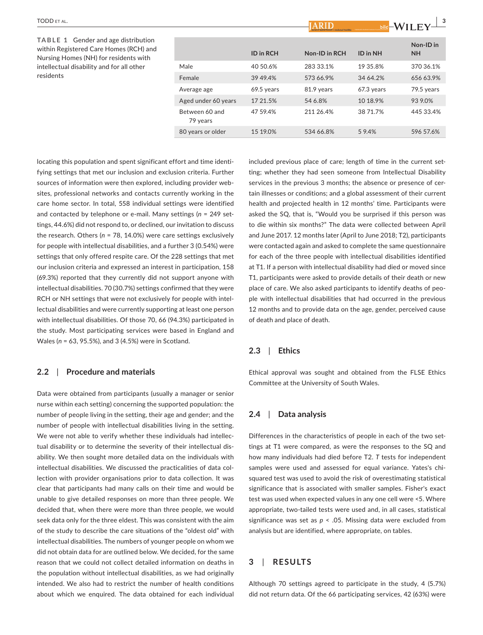**TABLE 1** Gender and age distribution within Registered Care Homes (RCH) and Nursing Homes (NH) for residents with intellectual disability and for all other residents

|                            |                  | Journal of Applied Research in Intellectual Disabilities   Packdood for the lands in counsel of conventionments |            | ** I L L I             |
|----------------------------|------------------|-----------------------------------------------------------------------------------------------------------------|------------|------------------------|
|                            | <b>ID</b> in RCH | Non-ID in RCH                                                                                                   | ID in NH   | Non-ID in<br><b>NH</b> |
| Male                       | 40 50.6%         | 283 33.1%                                                                                                       | 19 35.8%   | 370 36.1%              |
| Female                     | 39 49.4%         | 573 66.9%                                                                                                       | 34 64.2%   | 656 63.9%              |
| Average age                | 69.5 years       | 81.9 years                                                                                                      | 67.3 years | 79.5 years             |
| Aged under 60 years        | 17 21.5%         | 54 6.8%                                                                                                         | 10 18.9%   | 939.0%                 |
| Between 60 and<br>79 years | 47 59.4%         | 211 26.4%                                                                                                       | 38 71.7%   | 445 33.4%              |
| 80 years or older          | 15 19.0%         | 534 66.8%                                                                                                       | 59.4%      | 596 57.6%              |
|                            |                  |                                                                                                                 |            |                        |

**IADID** 

locating this population and spent significant effort and time identifying settings that met our inclusion and exclusion criteria. Further sources of information were then explored, including provider websites, professional networks and contacts currently working in the care home sector. In total, 558 individual settings were identified and contacted by telephone or e-mail. Many settings (*n* = 249 settings, 44.6%) did not respond to, or declined, our invitation to discuss the research. Others (*n* = 78, 14.0%) were care settings exclusively for people with intellectual disabilities, and a further 3 (0.54%) were settings that only offered respite care. Of the 228 settings that met our inclusion criteria and expressed an interest in participation, 158 (69.3%) reported that they currently did not support anyone with intellectual disabilities. 70 (30.7%) settings confirmed that they were RCH or NH settings that were not exclusively for people with intellectual disabilities and were currently supporting at least one person with intellectual disabilities. Of those 70, 66 (94.3%) participated in the study. Most participating services were based in England and Wales (*n* = 63, 95.5%), and 3 (4.5%) were in Scotland.

#### **2.2**  | **Procedure and materials**

Data were obtained from participants (usually a manager or senior nurse within each setting) concerning the supported population: the number of people living in the setting, their age and gender; and the number of people with intellectual disabilities living in the setting. We were not able to verify whether these individuals had intellectual disability or to determine the severity of their intellectual disability. We then sought more detailed data on the individuals with intellectual disabilities. We discussed the practicalities of data collection with provider organisations prior to data collection. It was clear that participants had many calls on their time and would be unable to give detailed responses on more than three people. We decided that, when there were more than three people, we would seek data only for the three eldest. This was consistent with the aim of the study to describe the care situations of the "oldest old" with intellectual disabilities. The numbers of younger people on whom we did not obtain data for are outlined below. We decided, for the same reason that we could not collect detailed information on deaths in the population without intellectual disabilities, as we had originally intended. We also had to restrict the number of health conditions about which we enquired. The data obtained for each individual

included previous place of care; length of time in the current setting; whether they had seen someone from Intellectual Disability services in the previous 3 months; the absence or presence of certain illnesses or conditions; and a global assessment of their current health and projected health in 12 months' time. Participants were asked the SQ, that is, "Would you be surprised if this person was to die within six months?" The data were collected between April and June 2017. 12 months later (April to June 2018; T2), participants were contacted again and asked to complete the same questionnaire for each of the three people with intellectual disabilities identified at T1. If a person with intellectual disability had died or moved since T1, participants were asked to provide details of their death or new place of care. We also asked participants to identify deaths of people with intellectual disabilities that had occurred in the previous 12 months and to provide data on the age, gender, perceived cause of death and place of death.

 $\frac{1}{2}$  **M**<sub>II</sub>  $\frac{1}{2}$ 

#### **2.3**  | **Ethics**

Ethical approval was sought and obtained from the FLSE Ethics Committee at the University of South Wales.

#### **2.4**  | **Data analysis**

Differences in the characteristics of people in each of the two settings at T1 were compared, as were the responses to the SQ and how many individuals had died before T2. *T* tests for independent samples were used and assessed for equal variance. Yates's chisquared test was used to avoid the risk of overestimating statistical significance that is associated with smaller samples. Fisher's exact test was used when expected values in any one cell were <5. Where appropriate, two-tailed tests were used and, in all cases, statistical significance was set as *p* < .05. Missing data were excluded from analysis but are identified, where appropriate, on tables.

#### **3**  | **RESULTS**

Although 70 settings agreed to participate in the study, 4 (5.7%) did not return data. Of the 66 participating services, 42 (63%) were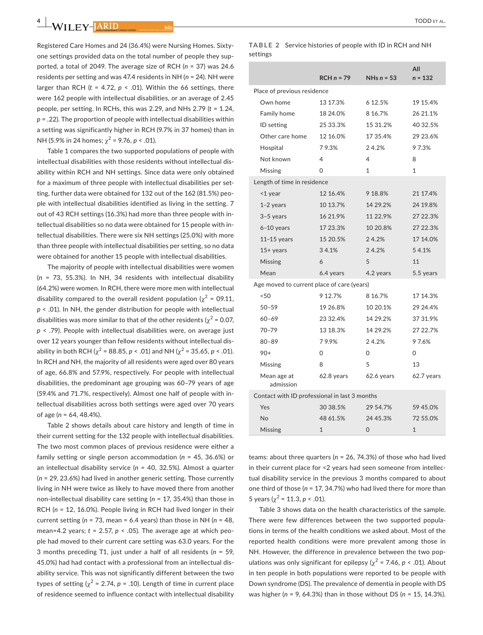Registered Care Homes and 24 (36.4%) were Nursing Homes. Sixtyone settings provided data on the total number of people they supported, a total of 2049. The average size of RCH (*n* = 37) was 24.6 residents per setting and was 47.4 residents in NH (*n* = 24). NH were larger than RCH  $(t = 4.72, p < .01)$ . Within the 66 settings, there were 162 people with intellectual disabilities, or an average of 2.45 people, per setting. In RCHs, this was 2.29, and NHs 2.79 (*t* = 1.24, *p* = .22). The proportion of people with intellectual disabilities within a setting was significantly higher in RCH (9.7% in 37 homes) than in NH (5.9% in 24 homes;  $\chi^2$  = 9.76, *p* < .01).

Table 1 compares the two supported populations of people with intellectual disabilities with those residents without intellectual disability within RCH and NH settings. Since data were only obtained for a maximum of three people with intellectual disabilities per setting, further data were obtained for 132 out of the 162 (81.5%) people with intellectual disabilities identified as living in the setting. 7 out of 43 RCH settings (16.3%) had more than three people with intellectual disabilities so no data were obtained for 15 people with intellectual disabilities. There were six NH settings (25.0%) with more than three people with intellectual disabilities per setting, so no data were obtained for another 15 people with intellectual disabilities.

The majority of people with intellectual disabilities were women (*n* = 73, 55.3%). In NH, 34 residents with intellectual disability (64.2%) were women. In RCH, there were more men with intellectual disability compared to the overall resident population ( $\gamma^2$  = 09.11, *p* < .01). In NH, the gender distribution for people with intellectual disabilities was more similar to that of the other residents ( $\chi^2$  = 0.07, *p* < .79). People with intellectual disabilities were, on average just over 12 years younger than fellow residents without intellectual disability in both RCH ( $\chi^2$  = 88.85, *p* < .01) and NH ( $\chi^2$  = 35.65, *p* < .01). In RCH and NH, the majority of all residents were aged over 80 years of age, 66.8% and 57.9%, respectively. For people with intellectual disabilities, the predominant age grouping was 60–79 years of age (59.4% and 71.7%, respectively). Almost one half of people with intellectual disabilities across both settings were aged over 70 years of age (*n* = 64, 48.4%).

Table 2 shows details about care history and length of time in their current setting for the 132 people with intellectual disabilities. The two most common places of previous residence were either a family setting or single person accommodation (*n* = 45, 36.6%) or an intellectual disability service (*n* = 40, 32.5%). Almost a quarter (*n* = 29, 23.6%) had lived in another generic setting. Those currently living in NH were twice as likely to have moved there from another non-intellectual disability care setting (*n* = 17, 35.4%) than those in RCH (*n* = 12, 16.0%). People living in RCH had lived longer in their current setting (*n* = 73, mean = 6.4 years) than those in NH (*n* = 48, mean=4.2 years;  $t = 2.57$ ,  $p < .05$ ). The average age at which people had moved to their current care setting was 63.0 years. For the 3 months preceding T1, just under a half of all residents (*n* = 59, 45.0%) had had contact with a professional from an intellectual disability service. This was not significantly different between the two types of setting ( $\gamma^2$  = 2.74,  $p$  = .10). Length of time in current place of residence seemed to influence contact with intellectual disability

#### **TABLE 2** Service histories of people with ID in RCH and NH settings

|                                               | $RCHn = 79$ | NHs $n = 53$ | All<br>$n = 132$ |
|-----------------------------------------------|-------------|--------------|------------------|
| Place of previous residence                   |             |              |                  |
| Own home                                      | 13 17.3%    | 6 12.5%      | 19 15.4%         |
| Family home                                   | 18 24.0%    | 8 16.7%      | 26 21.1%         |
| <b>ID</b> setting                             | 25 33.3%    | 15 31.2%     | 40 32.5%         |
| Other care home                               | 12 16.0%    | 17 35.4%     | 29 23.6%         |
| Hospital                                      | 79.3%       | 24.2%        | 97.3%            |
| Not known                                     | 4           | 4            | 8                |
| Missing                                       | $\Omega$    | $\mathbf{1}$ | $\mathbf{1}$     |
| Length of time in residence                   |             |              |                  |
| <1 year                                       | 12 16.4%    | 9 18.8%      | 21 17.4%         |
| $1-2$ years                                   | 10 13.7%    | 14 29.2%     | 24 19.8%         |
| $3-5$ years                                   | 16 21.9%    | 11 22.9%     | 27 22.3%         |
| $6-10$ years                                  | 17 23.3%    | 10 20.8%     | 27 22.3%         |
| $11-15$ years                                 | 15 20.5%    | 24.2%        | 17 14.0%         |
| $15+$ years                                   | 34.1%       | 24.2%        | 54.1%            |
| Missing                                       | 6           | 5            | 11               |
| Mean                                          | 6.4 years   | 4.2 years    | 5.5 years        |
| Age moved to current place of care (years)    |             |              |                  |
| < 50                                          | 9 12.7%     | 8 16.7%      | 17 14.3%         |
| $50 - 59$                                     | 19 26.8%    | 10 20.1%     | 29 24.4%         |
| $60 - 69$                                     | 23 32.4%    | 14 29.2%     | 37 31.9%         |
| $70 - 79$                                     | 13 18.3%    | 14 29.2%     | 27 22.7%         |
| $80 - 89$                                     | 79.9%       | 24.2%        | 97.6%            |
| $90+$                                         | $\Omega$    | $\Omega$     | $\Omega$         |
| Missing                                       | 8           | 5            | 13               |
| Mean age at<br>admission                      | 62.8 years  | 62.6 years   | 62.7 years       |
| Contact with ID professional in last 3 months |             |              |                  |
| Yes                                           | 30 38.5%    | 29 54.7%     | 59 45.0%         |
| No                                            | 48 61.5%    | 24 45.3%     | 72 55.0%         |
| Missing                                       | 1           | 0            | 1                |
|                                               |             |              |                  |

teams: about three quarters (*n* = 26, 74.3%) of those who had lived in their current place for <2 years had seen someone from intellectual disability service in the previous 3 months compared to about one third of those (*n* = 17, 34.7%) who had lived there for more than 5 years ( $\chi^2$  = 11.3, *p* < .01).

Table 3 shows data on the health characteristics of the sample. There were few differences between the two supported populations in terms of the health conditions we asked about. Most of the reported health conditions were more prevalent among those in NH. However, the difference in prevalence between the two populations was only significant for epilepsy  $\left(\chi^2 = 7.46, p \le 0.01\right)$ . About in ten people in both populations were reported to be people with Down syndrome (DS). The prevalence of dementia in people with DS was higher (*n* = 9, 64.3%) than in those without DS (*n* = 15, 14.3%).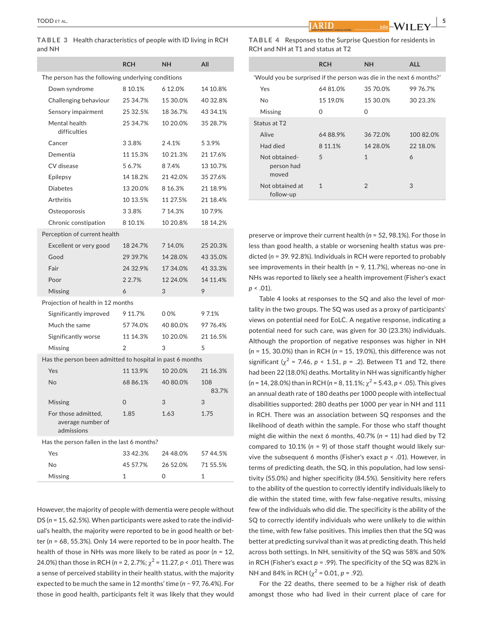**TABLE 3** Health characteristics of people with ID living in RCH and NH

|                                                           | <b>RCH</b>     | NΗ       | All          |  |
|-----------------------------------------------------------|----------------|----------|--------------|--|
| The person has the following underlying conditions        |                |          |              |  |
| Down syndrome                                             | 8 10.1%        | 6 12.0%  | 14 10.8%     |  |
| Challenging behaviour                                     | 25 34.7%       | 15 30.0% | 40 32.8%     |  |
| Sensory impairment                                        | 25 32.5%       | 18 36.7% | 43 34.1%     |  |
| Mental health<br>difficulties                             | 25 34.7%       | 10 20.0% | 35 28.7%     |  |
| Cancer                                                    | 33.8%          | 24.1%    | 53.9%        |  |
| Dementia                                                  | 11 15.3%       | 10 21.3% | 21 17.6%     |  |
| CV disease                                                | 56.7%          | 87.4%    | 13 10.7%     |  |
| Epilepsy                                                  | 14 18.2%       | 21 42.0% | 35 27.6%     |  |
| <b>Diabetes</b>                                           | 13 20.0%       | 8 16.3%  | 21 18.9%     |  |
| Arthritis                                                 | 10 13.5%       | 11 27.5% | 21 18.4%     |  |
| Osteoporosis                                              | 33.8%          | 7 14.3%  | 107.9%       |  |
| Chronic constipation                                      | 8 10.1%        | 10 20.8% | 18 14.2%     |  |
| Perception of current health                              |                |          |              |  |
| Excellent or very good                                    | 18 24.7%       | 7 14.0%  | 25 20.3%     |  |
| Good                                                      | 29 39.7%       | 14 28.0% | 43 35.0%     |  |
| Fair                                                      | 24 32.9%       | 17 34.0% | 41 33.3%     |  |
| Poor                                                      | 2 2.7%         | 12 24.0% | 14 11.4%     |  |
| Missing                                                   | 6              | 3        | 9            |  |
| Projection of health in 12 months                         |                |          |              |  |
| Significantly improved                                    | 9 11.7%        | 00%      | 97.1%        |  |
| Much the same                                             | 57 74.0%       | 40 80.0% | 97 76.4%     |  |
| Significantly worse                                       | 11 14.3%       | 10 20.0% | 21 16.5%     |  |
| Missing                                                   | $\overline{2}$ | 3        | 5            |  |
| Has the person been admitted to hospital in past 6 months |                |          |              |  |
| Yes                                                       | 11 13.9%       | 10 20.0% | 21 16.3%     |  |
| No                                                        | 68 86.1%       | 40 80.0% | 108<br>83.7% |  |
| Missing                                                   | 0              | 3        | 3            |  |
| For those admitted,<br>average number of<br>admissions    | 1.85           | 1.63     | 1.75         |  |
| Has the person fallen in the last 6 months?               |                |          |              |  |
| Yes                                                       | 33 42.3%       | 24 48.0% | 57 44.5%     |  |
| No                                                        | 45 57.7%       | 26 52.0% | 71 55.5%     |  |
| Missing                                                   | $\mathbf{1}$   | 0        | $\mathbf{1}$ |  |

However, the majority of people with dementia were people without DS (*n* = 15, 62.5%). When participants were asked to rate the individual's health, the majority were reported to be in good health or better (*n* = 68, 55.3%). Only 14 were reported to be in poor health. The health of those in NHs was more likely to be rated as poor (*n* = 12, 24.0%) than those in RCH ( $n = 2, 2.7$ %;  $\chi^2 = 11.27$ ,  $p < .01$ ). There was a sense of perceived stability in their health status, with the majority expected to be much the same in 12 months' time (*n* − 97, 76.4%). For those in good health, participants felt it was likely that they would

| TABLE 4 Responses to the Surprise Question for residents in |
|-------------------------------------------------------------|
| RCH and NH at T1 and status at T2                           |

|                                                                      | <b>RCH</b> | <b>NH</b>      | <b>ALL</b> |  |
|----------------------------------------------------------------------|------------|----------------|------------|--|
| 'Would you be surprised if the person was die in the next 6 months?' |            |                |            |  |
| Yes                                                                  | 6481.0%    | 35 70 0%       | 99 76.7%   |  |
| <b>No</b>                                                            | 15 19.0%   | 15 30.0%       | 30 23.3%   |  |
| Missing                                                              | $\Omega$   | 0              |            |  |
| Status at T2                                                         |            |                |            |  |
| Alive                                                                | 6488.9%    | 36 72 0%       | 10082.0%   |  |
| Had died                                                             | 8 11.1%    | 14 28 0%       | 22 18.0%   |  |
| Not obtained-<br>person had<br>moved                                 | 5          | $\mathbf{1}$   | 6          |  |
| Not obtained at<br>follow-up                                         | 1          | $\mathfrak{D}$ | 3          |  |

preserve or improve their current health (*n* = 52, 98.1%). For those in less than good health, a stable or worsening health status was predicted (*n* = 39. 92.8%). Individuals in RCH were reported to probably see improvements in their health (*n* = 9, 11.7%), whereas no-one in NHs was reported to likely see a health improvement (Fisher's exact *p* < .01).

Table 4 looks at responses to the SQ and also the level of mortality in the two groups. The SQ was used as a proxy of participants' views on potential need for EoLC. A negative response, indicating a potential need for such care, was given for 30 (23.3%) individuals. Although the proportion of negative responses was higher in NH (*n* = 15, 30.0%) than in RCH (*n* = 15, 19.0%), this difference was not significant ( $\chi^2$  = 7.46,  $p$  < 1.51,  $p$  = .2). Between T1 and T2, there had been 22 (18.0%) deaths. Mortality in NH was significantly higher  $(n = 14, 28.0\%)$  than in RCH  $(n = 8, 11.1\%; \chi^2 = 5.43, p < .05)$ . This gives an annual death rate of 180 deaths per 1000 people with intellectual disabilities supported: 280 deaths per 1000 per year in NH and 111 in RCH. There was an association between SQ responses and the likelihood of death within the sample. For those who staff thought might die within the next 6 months, 40.7% (*n* = 11) had died by T2 compared to 10.1% (*n* = 9) of those staff thought would likely survive the subsequent 6 months (Fisher's exact *p* < .01). However, in terms of predicting death, the SQ, in this population, had low sensitivity (55.0%) and higher specificity (84.5%). Sensitivity here refers to the ability of the question to correctly identify individuals likely to die within the stated time, with few false-negative results, missing few of the individuals who did die. The specificity is the ability of the SQ to correctly identify individuals who were unlikely to die within the time, with few false positives. This implies then that the SQ was better at predicting survival than it was at predicting death. This held across both settings. In NH, sensitivity of the SQ was 58% and 50% in RCH (Fisher's exact *p* = .99). The specificity of the SQ was 82% in NH and 84% in RCH ( $\chi^2$  = 0.01, *p* = .92).

For the 22 deaths, there seemed to be a higher risk of death amongst those who had lived in their current place of care for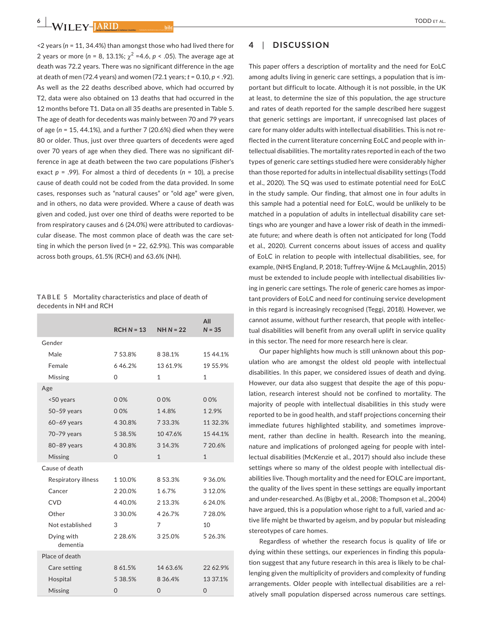<2 years (*n* = 11, 34.4%) than amongst those who had lived there for 2 years or more ( $n = 8, 13.1\%$ ;  $\chi^2 = 4.6$ ,  $p < .05$ ). The average age at death was 72.2 years. There was no significant difference in the age at death of men (72.4 years) and women (72.1 years; *t* = 0.10, *p* < .92). As well as the 22 deaths described above, which had occurred by T2, data were also obtained on 13 deaths that had occurred in the 12 months before T1. Data on all 35 deaths are presented in Table 5. The age of death for decedents was mainly between 70 and 79 years of age (*n* = 15, 44.1%), and a further 7 (20.6%) died when they were 80 or older. Thus, just over three quarters of decedents were aged over 70 years of age when they died. There was no significant difference in age at death between the two care populations (Fisher's exact *p* = .99). For almost a third of decedents (*n* = 10), a precise cause of death could not be coded from the data provided. In some cases, responses such as "natural causes" or "old age" were given, and in others, no data were provided. Where a cause of death was given and coded, just over one third of deaths were reported to be from respiratory causes and 6 (24.0%) were attributed to cardiovascular disease. The most common place of death was the care setting in which the person lived (*n* = 22, 62.9%). This was comparable across both groups, 61.5% (RCH) and 63.6% (NH).

**TABLE 5** Mortality characteristics and place of death of decedents in NH and RCH

|                        | $RCHN = 13$    | $NH N = 22$    | All<br>$N = 35$ |
|------------------------|----------------|----------------|-----------------|
| Gender                 |                |                |                 |
| Male                   | 753.8%         | 8 38.1%        | 15 44.1%        |
| Female                 | 646.2%         | 13 61.9%       | 19 55.9%        |
| Missing                | 0              | $\mathbf{1}$   | $\mathbf{1}$    |
| Age                    |                |                |                 |
| <50 years              | 0.0%           | 00%            | 00%             |
| $50-59$ years          | 0.0%           | 14.8%          | 12.9%           |
| $60-69$ years          | 4 30.8%        | 7 33.3%        | 11 32.3%        |
| 70-79 years            | 5 38.5%        | 10 47.6%       | 15 44.1%        |
| 80-89 years            | 4 30.8%        | 3 14.3%        | 7 20.6%         |
| <b>Missing</b>         | $\Omega$       | $\mathbf{1}$   | $\mathbf{1}$    |
| Cause of death         |                |                |                 |
| Respiratory illness    | 1 10.0%        | 853.3%         | 9 36.0%         |
| Cancer                 | 2 20.0%        | 16.7%          | 3 12.0%         |
| <b>CVD</b>             | 440.0%         | 2 13.3%        | 6 24.0%         |
| Other                  | 3 30.0%        | 4 26.7%        | 7 28.0%         |
| Not established        | 3              | 7              | 10              |
| Dying with<br>dementia | 2 28.6%        | 3 25.0%        | 5 26.3%         |
| Place of death         |                |                |                 |
| Care setting           | 8 61.5%        | 14 63.6%       | 22 62.9%        |
| Hospital               | 5 38.5%        | 8 36 4%        | 13 37.1%        |
| Missing                | $\overline{0}$ | $\overline{0}$ | $\overline{0}$  |

## **4**  | **DISCUSSION**

This paper offers a description of mortality and the need for EoLC among adults living in generic care settings, a population that is important but difficult to locate. Although it is not possible, in the UK at least, to determine the size of this population, the age structure and rates of death reported for the sample described here suggest that generic settings are important, if unrecognised last places of care for many older adults with intellectual disabilities. This is not reflected in the current literature concerning EoLC and people with intellectual disabilities. The mortality rates reported in each of the two types of generic care settings studied here were considerably higher than those reported for adults in intellectual disability settings (Todd et al., 2020). The SQ was used to estimate potential need for EoLC in the study sample. Our finding, that almost one in four adults in this sample had a potential need for EoLC, would be unlikely to be matched in a population of adults in intellectual disability care settings who are younger and have a lower risk of death in the immediate future; and where death is often not anticipated for long (Todd et al., 2020). Current concerns about issues of access and quality of EoLC in relation to people with intellectual disabilities, see, for example, (NHS England, P, 2018; Tuffrey-Wijne & McLaughlin, 2015) must be extended to include people with intellectual disabilities living in generic care settings. The role of generic care homes as important providers of EoLC and need for continuing service development in this regard is increasingly recognised (Teggi, 2018). However, we cannot assume, without further research, that people with intellectual disabilities will benefit from any overall uplift in service quality in this sector. The need for more research here is clear.

Our paper highlights how much is still unknown about this population who are amongst the oldest old people with intellectual disabilities. In this paper, we considered issues of death and dying. However, our data also suggest that despite the age of this population, research interest should not be confined to mortality. The majority of people with intellectual disabilities in this study were reported to be in good health, and staff projections concerning their immediate futures highlighted stability, and sometimes improvement, rather than decline in health. Research into the meaning, nature and implications of prolonged ageing for people with intellectual disabilities (McKenzie et al., 2017) should also include these settings where so many of the oldest people with intellectual disabilities live. Though mortality and the need for EOLC are important, the quality of the lives spent in these settings are equally important and under-researched. As (Bigby et al., 2008; Thompson et al., 2004) have argued, this is a population whose right to a full, varied and active life might be thwarted by ageism, and by popular but misleading stereotypes of care homes.

Regardless of whether the research focus is quality of life or dying within these settings, our experiences in finding this population suggest that any future research in this area is likely to be challenging given the multiplicity of providers and complexity of funding arrangements. Older people with intellectual disabilities are a relatively small population dispersed across numerous care settings.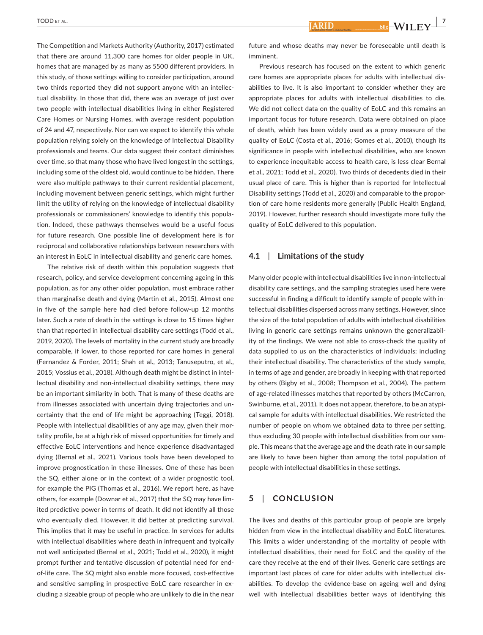The Competition and Markets Authority (Authority, 2017) estimated that there are around 11,300 care homes for older people in UK, homes that are managed by as many as 5500 different providers. In this study, of those settings willing to consider participation, around two thirds reported they did not support anyone with an intellectual disability. In those that did, there was an average of just over two people with intellectual disabilities living in either Registered Care Homes or Nursing Homes, with average resident population of 24 and 47, respectively. Nor can we expect to identify this whole population relying solely on the knowledge of Intellectual Disability professionals and teams. Our data suggest their contact diminishes over time, so that many those who have lived longest in the settings, including some of the oldest old, would continue to be hidden. There were also multiple pathways to their current residential placement, including movement between generic settings, which might further limit the utility of relying on the knowledge of intellectual disability professionals or commissioners' knowledge to identify this population. Indeed, these pathways themselves would be a useful focus for future research. One possible line of development here is for reciprocal and collaborative relationships between researchers with an interest in EoLC in intellectual disability and generic care homes.

The relative risk of death within this population suggests that research, policy, and service development concerning ageing in this population, as for any other older population, must embrace rather than marginalise death and dying (Martin et al., 2015). Almost one in five of the sample here had died before follow-up 12 months later. Such a rate of death in the settings is close to 15 times higher than that reported in intellectual disability care settings (Todd et al., 2019, 2020). The levels of mortality in the current study are broadly comparable, if lower, to those reported for care homes in general (Fernandez & Forder, 2011; Shah et al., 2013; Tanuseputro, et al., 2015; Vossius et al., 2018). Although death might be distinct in intellectual disability and non-intellectual disability settings, there may be an important similarity in both. That is many of these deaths are from illnesses associated with uncertain dying trajectories and uncertainty that the end of life might be approaching (Teggi, 2018). People with intellectual disabilities of any age may, given their mortality profile, be at a high risk of missed opportunities for timely and effective EoLC interventions and hence experience disadvantaged dying (Bernal et al., 2021). Various tools have been developed to improve prognostication in these illnesses. One of these has been the SQ, either alone or in the context of a wider prognostic tool, for example the PIG (Thomas et al., 2016). We report here, as have others, for example (Downar et al., 2017) that the SQ may have limited predictive power in terms of death. It did not identify all those who eventually died. However, it did better at predicting survival. This implies that it may be useful in practice. In services for adults with intellectual disabilities where death in infrequent and typically not well anticipated (Bernal et al., 2021; Todd et al., 2020), it might prompt further and tentative discussion of potential need for endof-life care. The SQ might also enable more focused, cost-effective and sensitive sampling in prospective EoLC care researcher in excluding a sizeable group of people who are unlikely to die in the near **ARID** 

**Example 1**  $\frac{1}{2}$  bild  $\frac{1}{2}$ 

future and whose deaths may never be foreseeable until death is imminent.

Previous research has focused on the extent to which generic care homes are appropriate places for adults with intellectual disabilities to live. It is also important to consider whether they are appropriate places for adults with intellectual disabilities to die. We did not collect data on the quality of EoLC and this remains an important focus for future research. Data were obtained on place of death, which has been widely used as a proxy measure of the quality of EoLC (Costa et al., 2016; Gomes et al., 2010), though its significance in people with intellectual disabilities, who are known to experience inequitable access to health care, is less clear Bernal et al., 2021; Todd et al., 2020). Two thirds of decedents died in their usual place of care. This is higher than is reported for Intellectual Disability settings (Todd et al., 2020) and comparable to the proportion of care home residents more generally (Public Health England, 2019). However, further research should investigate more fully the quality of EoLC delivered to this population.

#### **4.1**  | **Limitations of the study**

Many older people with intellectual disabilities live in non-intellectual disability care settings, and the sampling strategies used here were successful in finding a difficult to identify sample of people with intellectual disabilities dispersed across many settings. However, since the size of the total population of adults with intellectual disabilities living in generic care settings remains unknown the generalizability of the findings. We were not able to cross-check the quality of data supplied to us on the characteristics of individuals: including their intellectual disability. The characteristics of the study sample, in terms of age and gender, are broadly in keeping with that reported by others (Bigby et al., 2008; Thompson et al., 2004). The pattern of age-related illnesses matches that reported by others (McCarron, Swinburne, et al., 2011). It does not appear, therefore, to be an atypical sample for adults with intellectual disabilities. We restricted the number of people on whom we obtained data to three per setting, thus excluding 30 people with intellectual disabilities from our sample. This means that the average age and the death rate in our sample are likely to have been higher than among the total population of people with intellectual disabilities in these settings.

#### **5**  | **CONCLUSION**

The lives and deaths of this particular group of people are largely hidden from view in the intellectual disability and EoLC literatures. This limits a wider understanding of the mortality of people with intellectual disabilities, their need for EoLC and the quality of the care they receive at the end of their lives. Generic care settings are important last places of care for older adults with intellectual disabilities. To develop the evidence-base on ageing well and dying well with intellectual disabilities better ways of identifying this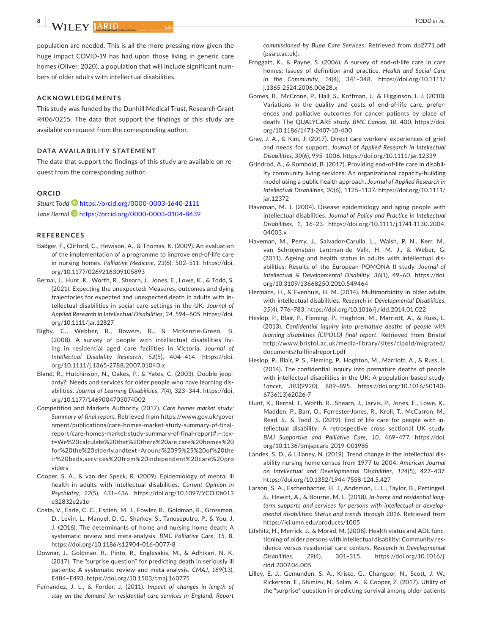**8** | WILEY-JARID

population are needed. This is all the more pressing now given the huge impact COVID-19 has had upon those living in generic care homes (Oliver, 2020), a population that will include significant numbers of older adults with intellectual disabilities.

#### **ACKNOWLEDGEMENTS**

This study was funded by the Dunhill Medical Trust, Research Grant R406/0215. The data that support the findings of this study are available on request from the corresponding author.

#### **DATA AVAILABILITY STATEMENT**

The data that support the findings of this study are available on request from the corresponding author.

## **ORCID**

*Stuart Todd* <https://orcid.org/0000-0003-1640-2111> *Jane Berna[l](https://orcid.org/0000-0003-0104-8439)* <https://orcid.org/0000-0003-0104-8439>

#### **REFERENCES**

- Badger, F., Clifford, C., Hewison, A., & Thomas, K. (2009). An evaluation of the implementation of a programme to improve end-of-life care in nursing homes. *Palliative Medicine*, *23*(6), 502–511. [https://doi.](https://doi.org/10.1177/0269216309105893) [org/10.1177/0269216309105893](https://doi.org/10.1177/0269216309105893)
- Bernal, J., Hunt, K., Worth, R., Shearn, J., Jones, E., Lowe, K., & Todd, S. (2021). Expecting the unexpected: Measures, outcomes and dying trajectories for expected and unexpected death in adults with intellectual disabilities in social care settings in the UK. *Journal of Applied Research in Intellectual Disabilities*, *34*, 594–605. [https://doi.](https://doi.org/10.1111/jar.12827) [org/10.1111/jar.12827](https://doi.org/10.1111/jar.12827)
- Bigby, C., Webber, R., Bowers, B., & McKenzie-Green, B. (2008). A survey of people with intellectual disabilities living in residential aged care facilities in Victoria. *Journal of Intellectual Disability Research*, *52*(5), 404–414. [https://doi.](https://doi.org/10.1111/j.1365-2788.2007.01040.x) [org/10.1111/j.1365-2788.2007.01040.x](https://doi.org/10.1111/j.1365-2788.2007.01040.x)
- Bland, R., Hutchinson, N., Oakes, P., & Yates, C. (2003). Double jeopardy?: Needs and services for older people who have learning disabilities. *Journal of Learning Disabilities*, *7*(4), 323–344. [https://doi.](https://doi.org/10.1177/1469004703074002) [org/10.1177/1469004703074002](https://doi.org/10.1177/1469004703074002)
- Competition and Markets Authority (2017). *Care homes market study: Summary of final report*. Retrieved from [https://www.gov.uk/gover](https://www.gov.uk/government/publications/care-homes-market-study-summary-of-final-report/care-homes-market-study-summary-of-final-report#:%7E:text=We calculate that there are,care homes for the elderly.andtext=Around 95%25 of their beds,services from independent care providers) [nment/publications/care-homes-market-study-summary-of-final](https://www.gov.uk/government/publications/care-homes-market-study-summary-of-final-report/care-homes-market-study-summary-of-final-report#:%7E:text=We calculate that there are,care homes for the elderly.andtext=Around 95%25 of their beds,services from independent care providers)[report/care-homes-market-study-summary-of-final-report#:~:tex](https://www.gov.uk/government/publications/care-homes-market-study-summary-of-final-report/care-homes-market-study-summary-of-final-report#:%7E:text=We calculate that there are,care homes for the elderly.andtext=Around 95%25 of their beds,services from independent care providers)[t=We%20calculate%20that%20there%20are,care%20homes%20](https://www.gov.uk/government/publications/care-homes-market-study-summary-of-final-report/care-homes-market-study-summary-of-final-report#:%7E:text=We calculate that there are,care homes for the elderly.andtext=Around 95%25 of their beds,services from independent care providers) [for%20the%20elderly.andtext=Around%2095%25%20of%20the](https://www.gov.uk/government/publications/care-homes-market-study-summary-of-final-report/care-homes-market-study-summary-of-final-report#:%7E:text=We calculate that there are,care homes for the elderly.andtext=Around 95%25 of their beds,services from independent care providers) [ir%20beds,services%20from%20independent%20care%20pro](https://www.gov.uk/government/publications/care-homes-market-study-summary-of-final-report/care-homes-market-study-summary-of-final-report#:%7E:text=We calculate that there are,care homes for the elderly.andtext=Around 95%25 of their beds,services from independent care providers) [viders](https://www.gov.uk/government/publications/care-homes-market-study-summary-of-final-report/care-homes-market-study-summary-of-final-report#:%7E:text=We calculate that there are,care homes for the elderly.andtext=Around 95%25 of their beds,services from independent care providers)
- Cooper, S. A., & van der Speck, R. (2009). Epidemiology of mental ill health in adults with intellectual disabilities. *Current Opinion in Psychiatry*, *22*(5), 431–436. [https://doi.org/10.1097/YCO.0b013](https://doi.org/10.1097/YCO.0b013e32832e2a1e) [e32832e2a1e](https://doi.org/10.1097/YCO.0b013e32832e2a1e)
- Costa, V., Earle, C. C., Esplen, M. J., Fowler, R., Goldman, R., Grossman, D., Levin, L., Manuel, D. G., Sharkey, S., Tanuseputro, P., & You, J. J. (2016). The determinants of home and nursing home death: A systematic review and meta-analysis. *BMC Palliative Care*, *15*, 8. <https://doi.org/10.1186/s12904-016-0077-8>
- Downar, J., Goldman, R., Pinto, R., Englesakis, M., & Adhikari, N. K. (2017). The "surprise question" for predicting death in seriously ill patients: A systematic review and meta-analysis. *CMAJ*, *189*(13), E484–E493. <https://doi.org/10.1503/cmaj.160775>
- Fernandez, J. L., & Forder, J. (2011). *Impact of changes in length of stay on the demand for residential care services in England, Report*

*commissioned by Bupa Care Services*. Retrieved from dp2771.pdf (pssru.ac.uk).

- Froggatt, K., & Payne, S. (2006). A survey of end-of-life care in care homes: Issues of definition and practice. *Health and Social Care in the Community*, *14*(4), 341–348. [https://doi.org/10.1111/](https://doi.org/10.1111/j.1365-2524.2006.00628.x) [j.1365-2524.2006.00628.x](https://doi.org/10.1111/j.1365-2524.2006.00628.x)
- Gomes, B., McCrone, P., Hall, S., Koffman, J., & Higginson, I. J. (2010). Variations in the quality and costs of end-of-life care, preferences and palliative outcomes for cancer patients by place of death: The QUALYCARE study. *BMC Cancer*, *10*, 400. [https://doi.](https://doi.org/10.1186/1471-2407-10-400) [org/10.1186/1471-2407-10-400](https://doi.org/10.1186/1471-2407-10-400)
- Gray, J. A., & Kim, J. (2017). Direct care workers' experiences of grief and needs for support. *Journal of Applied Research in Intellectual Disabilities*, *30*(6), 995–1006.<https://doi.org/10.1111/jar.12339>
- Grindrod, A., & Rumbold, B. (2017). Providing end-of-life care in disability community living services: An organizational capacity-building model using a public health approach. *Journal of Applied Research in Intellectual Disabilities*, *30*(6), 1125–1137. [https://doi.org/10.1111/](https://doi.org/10.1111/jar.12372) [jar.12372](https://doi.org/10.1111/jar.12372)
- Haveman, M. J. (2004). Disease epidemiology and aging people with intellectual disabilities. *Journal of Policy and Practice in Intellectual Disabilities*, *1*, 16–23. [https://doi.org/10.1111/j.1741-1130.2004.](https://doi.org/10.1111/j.1741-1130.2004.04003.x) [04003.x](https://doi.org/10.1111/j.1741-1130.2004.04003.x)
- Haveman, M., Perry, J., Salvador-Carulla, L., Walsh, P. N., Kerr, M., van Schrojenstein Lantman-de Valk, H. M. J., & Weber, G. (2011). Ageing and health status in adults with intellectual disabilities: Results of the European POMONA II study. *Journal of Intellectual & Developmental Disability*, *36*(1), 49–60. [https://doi.](https://doi.org/10.3109/13668250.2010.549464) [org/10.3109/13668250.2010.549464](https://doi.org/10.3109/13668250.2010.549464)
- Hermans, H., & Evenhuis, H. M. (2014). Multimorbidity in older adults with intellectual disabilities. *Research in Developmental Disabilities*, *35*(4), 776–783.<https://doi.org/10.1016/j.ridd.2014.01.022>
- Heslop, P., Blair, P., Fleming, P., Hoghton, M., Marriott, A., & Russ, L. (2013). *Confidential inquiry into premature deaths of people with learning disabilities (CIPOLD) final report*. Retrieved from Bristol [http://www.bristol.ac.uk/media-library/sites/cipold/migrated/](http://www.bristol.ac.uk/media-library/sites/cipold/migrated/documents/fullfinalreport.pdf) [documents/fullfinalreport.pdf](http://www.bristol.ac.uk/media-library/sites/cipold/migrated/documents/fullfinalreport.pdf)
- Heslop, P., Blair, P. S., Fleming, P., Hoghton, M., Marriott, A., & Russ, L. (2014). The confidential inquiry into premature deaths of people with intellectual disabilities in the UK: A population-based study. *Lancet*, *383*(9920), 889–895. [https://doi.org/10.1016/S0140-](https://doi.org/10.1016/S0140-6736(13)62026-7) [6736\(13\)62026-7](https://doi.org/10.1016/S0140-6736(13)62026-7)
- Hunt, K., Bernal, J., Worth, R., Shearn, J., Jarvis, P., Jones, E., Lowe, K., Madden, P., Barr, O., Forrester-Jones, R., Kroll, T., McCarron, M., Read, S., & Todd, S. (2019). End of life care for people with intellectual disability: A retrospective cross sectional UK study. *BMJ Supportive and Palliative Care*, *10*, 469–477. [https://doi.](https://doi.org/10.1136/bmjspcare-2019-001985) [org/10.1136/bmjspcare-2019-001985](https://doi.org/10.1136/bmjspcare-2019-001985)
- Landes, S. D., & Lillaney, N. (2019). Trend change in the intellectual disability nursing home census from 1977 to 2004. *American Journal on Intellectual and Developmental Disabilities*, *124*(5), 427–437. <https://doi.org/10.1352/1944-7558-124.5.427>
- Larson, S. A., Eschenbacher, H. J., Anderson, L. L., Taylor, B., Pettingell, S., Hewitt, A., & Bourne, M. L. (2018). *In-home and residential longterm supports and services for persons with intellectual or developmental disabilities: Status and trends through 2016*. Retrieved from <https://ici.umn.edu/products/1005>
- Lifshitz, H., Merrick, J., & Morad, M. (2008). Health status and ADL functioning of older persons with intellectual disability: Community residence versus residential care centers. *Research in Developmental Disabilities*, *29*(4), 301–315. [https://doi.org/10.1016/j.](https://doi.org/10.1016/j.ridd.2007.06.005) [ridd.2007.06.005](https://doi.org/10.1016/j.ridd.2007.06.005)
- Lilley, E. J., Gemunden, S. A., Kristo, G., Changoor, N., Scott, J. W., Rickerson, E., Shimizu, N., Salim, A., & Cooper, Z. (2017). Utility of the "surprise" question in predicting survival among older patients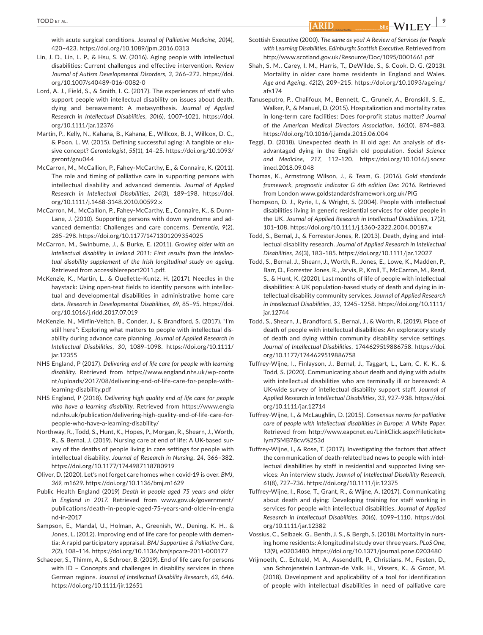with acute surgical conditions. *Journal of Palliative Medicine*, *20*(4), 420–423.<https://doi.org/10.1089/jpm.2016.0313>

- Lin, J. D., Lin, L. P., & Hsu, S. W. (2016). Aging people with intellectual disabilities: Current challenges and effective intervention. *Review Journal of Autism Developmental Disorders*, *3*, 266–272. [https://doi.](https://doi.org/10.1007/s40489-016-0082-0) [org/10.1007/s40489-016-0082-0](https://doi.org/10.1007/s40489-016-0082-0)
- Lord, A. J., Field, S., & Smith, I. C. (2017). The experiences of staff who support people with intellectual disability on issues about death, dying and bereavement: A metasynthesis. *Journal of Applied Research in Intellectual Disabilities*, *30*(6), 1007–1021. [https://doi.](https://doi.org/10.1111/jar.12376) [org/10.1111/jar.12376](https://doi.org/10.1111/jar.12376)
- Martin, P., Kelly, N., Kahana, B., Kahana, E., Willcox, B. J., Willcox, D. C., & Poon, L. W. (2015). Defining successful aging: A tangible or elusive concept? *Gerontologist*, *55*(1), 14–25. [https://doi.org/10.1093/](https://doi.org/10.1093/geront/gnu044) [geront/gnu044](https://doi.org/10.1093/geront/gnu044)
- McCarron, M., McCallion, P., Fahey-McCarthy, E., & Connaire, K. (2011). The role and timing of palliative care in supporting persons with intellectual disability and advanced dementia. *Journal of Applied Research in Intellectual Disabilities*, *24*(3), 189–198. [https://doi.](https://doi.org/10.1111/j.1468-3148.2010.00592.x) [org/10.1111/j.1468-3148.2010.00592.x](https://doi.org/10.1111/j.1468-3148.2010.00592.x)
- McCarron, M., McCallion, P., Fahey-McCarthy, E., Connaire, K., & Dunn-Lane, J. (2010). Supporting persons with down syndrome and advanced dementia: Challenges and care concerns. *Dementia*, *9*(2), 285–298. <https://doi.org/10.1177/1471301209354025>
- McCarron, M., Swinburne, J., & Burke, E. (2011). *Growing older with an intellectual disability in Ireland 2011: First results from the intellectual disability supplement of the Irish longitudinal study on ageing*. Retrieved from accessiblereport2011.pdf.
- McKenzie, K., Martin, L., & Ouellette-Kuntz, H. (2017). Needles in the haystack: Using open-text fields to identify persons with intellectual and developmental disabilities in administrative home care data. *Research in Developmental Disabilities*, *69*, 85–95. [https://doi.](https://doi.org/10.1016/j.ridd.2017.07.019) [org/10.1016/j.ridd.2017.07.019](https://doi.org/10.1016/j.ridd.2017.07.019)
- McKenzie, N., Mirfin-Veitch, B., Conder, J., & Brandford, S. (2017). "I'm still here": Exploring what matters to people with intellectual disability during advance care planning. *Journal of Applied Research in Intellectual Disabilities*, *30*, 1089–1098. [https://doi.org/10.1111/](https://doi.org/10.1111/jar.12355) [jar.12355](https://doi.org/10.1111/jar.12355)
- NHS England, P (2017). *Delivering end of life care for people with learning disability*. Retrieved from [https://www.england.nhs.uk/wp-conte](https://www.england.nhs.uk/wp-content/uploads/2017/08/delivering-end-of-life-care-for-people-with-learning-disability.pdf) [nt/uploads/2017/08/delivering-end-of-life-care-for-people-with](https://www.england.nhs.uk/wp-content/uploads/2017/08/delivering-end-of-life-care-for-people-with-learning-disability.pdf)[learning-disability.pdf](https://www.england.nhs.uk/wp-content/uploads/2017/08/delivering-end-of-life-care-for-people-with-learning-disability.pdf)
- NHS England, P (2018). *Delivering high quality end of life care for people who have a learning disability*. Retrieved from [https://www.engla](https://www.england.nhs.uk/publication/delivering-high-quality-end-of-life-care-for-people-who-have-a-learning-disability/) [nd.nhs.uk/publication/delivering-high-quality-end-of-life-care-for](https://www.england.nhs.uk/publication/delivering-high-quality-end-of-life-care-for-people-who-have-a-learning-disability/)[people-who-have-a-learning-disability/](https://www.england.nhs.uk/publication/delivering-high-quality-end-of-life-care-for-people-who-have-a-learning-disability/)
- Northway, R., Todd, S., Hunt, K., Hopes, P., Morgan, R., Shearn, J., Worth, R., & Bernal, J. (2019). Nursing care at end of life: A UK-based survey of the deaths of people living in care settings for people with intellectual disability. *Journal of Research in Nursing*, *24*, 366–382. <https://doi.org/10.1177/1744987118780919>
- Oliver, D. (2020). Let's not forget care homes when covid-19 is over. *BMJ*, *369*, m1629. <https://doi.org/10.1136/bmj.m1629>
- Public Health England (2019) *Death in people aged 75 years and older in England in 2017*. Retrieved from [www.gov.uk/government/](http://www.gov.uk/government/publications/death-in-people-aged-75-years-and-older-in-england-in-2017) [publications/death-in-people-aged-75-years-and-older-in-engla](http://www.gov.uk/government/publications/death-in-people-aged-75-years-and-older-in-england-in-2017) [nd-in-2017](http://www.gov.uk/government/publications/death-in-people-aged-75-years-and-older-in-england-in-2017)
- Sampson, E., Mandal, U., Holman, A., Greenish, W., Dening, K. H., & Jones, L. (2012). Improving end of life care for people with dementia: A rapid participatory appraisal. *BMJ Supportive & Palliative Care*, *2*(2), 108–114.<https://doi.org/10.1136/bmjspcare-2011-000177>
- Schaeper, S., Thimm, A., & Schroer, B. (2019). End of life care for persons with ID – Concepts and challenges in disability services in three German regions. *Journal of Intellectual Disability Research*, *63*, 646. <https://doi.org/10.1111/jir.12651>
- Scottish Executive (2000). *The same as you? A Review of Services for People with Learning Disabilities, Edinburgh: Scottish Executive*. Retrieved from <http://www.scotland.gov.uk/Resource/Doc/1095/0001661.pdf>
- Shah, S. M., Carey, I. M., Harris, T., DeWilde, S., & Cook, D. G. (2013). Mortality in older care home residents in England and Wales. *Age and Ageing*, *42*(2), 209–215. [https://doi.org/10.1093/ageing/](https://doi.org/10.1093/ageing/afs174) [afs174](https://doi.org/10.1093/ageing/afs174)
- Tanuseputro, P., Chalifoux, M., Bennett, C., Gruneir, A., Bronskill, S. E., Walker, P., & Manuel, D. (2015). Hospitalization and mortality rates in long-term care facilities: Does for-profit status matter? *Journal of the American Medical Directors Association*, *16*(10), 874–883. <https://doi.org/10.1016/j.jamda.2015.06.004>
- Teggi, D. (2018). Unexpected death in ill old age: An analysis of disadvantaged dying in the English old population. *Social Science and Medicine*, *217*, 112–120. [https://doi.org/10.1016/j.socsc](https://doi.org/10.1016/j.socscimed.2018.09.048) [imed.2018.09.048](https://doi.org/10.1016/j.socscimed.2018.09.048)
- Thomas, K., Armstrong Wilson, J., & Team, G. (2016). *Gold standards framework, prognostic indicator G 6th edition Dec 2016*. Retrieved from London [www.goldstandardsframework.org.uk/PIG](http://www.goldstandardsframework.org.uk/PIG)
- Thompson, D. J., Ryrie, I., & Wright, S. (2004). People with intellectual disabilities living in generic residential services for older people in the UK. *Journal of Applied Research in Intellectual Disabilities*, *17*(2), 101–108.<https://doi.org/10.1111/j.1360-2322.2004.00187.x>
- Todd, S., Bernal, J., & Forrester-Jones, R. (2013). Death, dying and intellectual disability research. *Journal of Applied Research in Intellectual Disabilities*, *26*(3), 183–185. <https://doi.org/10.1111/jar.12027>
- Todd, S., Bernal, J., Shearn, J., Worth, R., Jones, E., Lowe, K., Madden, P., Barr, O., Forrester Jones, R., Jarvis, P., Kroll, T., McCarron, M., Read, S., & Hunt, K. (2020). Last months of life of people with intellectual disabilities: A UK population-based study of death and dying in intellectual disability community services. *Journal of Applied Research in Intellectual Disabilities*, *33*, 1245–1258. [https://doi.org/10.1111/](https://doi.org/10.1111/jar.12744) [jar.12744](https://doi.org/10.1111/jar.12744)
- Todd, S., Shearn, J., Brandford, S., Bernal, J., & Worth, R. (2019). Place of death of people with intellectual disabilities: An exploratory study of death and dying within community disability service settings. *Journal of Intellectual Disabilities*, 1744629519886758. [https://doi.](https://doi.org/10.1177/1744629519886758) [org/10.1177/1744629519886758](https://doi.org/10.1177/1744629519886758)
- Tuffrey-Wijne, I., Finlayson, J., Bernal, J., Taggart, L., Lam, C. K. K., & Todd, S. (2020). Communicating about death and dying with adults with intellectual disabilities who are terminally ill or bereaved: A UK-wide survey of intellectual disability support staff. *Journal of Applied Research in Intellectual Disabilities*, *33*, 927–938. [https://doi.](https://doi.org/10.1111/jar.12714) [org/10.1111/jar.12714](https://doi.org/10.1111/jar.12714)
- Tuffrey-Wijne, I., & McLaughlin, D. (2015). *Consensus norms for palliative care of people with intellectual disabilities in Europe: A White Paper*. Retrieved from [http://www.eapcnet.eu/LinkClick.aspx?fileticket=](http://www.eapcnet.eu/LinkClick.aspx?fileticket=Iym7SMB78cw%253d) [Iym7SMB78cw%253d](http://www.eapcnet.eu/LinkClick.aspx?fileticket=Iym7SMB78cw%253d)
- Tuffrey-Wijne, I., & Rose, T. (2017). Investigating the factors that affect the communication of death-related bad news to people with intellectual disabilities by staff in residential and supported living services: An interview study. *Journal of Intellectual Disability Research*, *61*(8), 727–736.<https://doi.org/10.1111/jir.12375>
- Tuffrey-Wijne, I., Rose, T., Grant, R., & Wijne, A. (2017). Communicating about death and dying: Developing training for staff working in services for people with intellectual disabilities. *Journal of Applied Research in Intellectual Disabilities*, *30*(6), 1099–1110. [https://doi.](https://doi.org/10.1111/jar.12382) [org/10.1111/jar.12382](https://doi.org/10.1111/jar.12382)
- Vossius, C., Selbaek, G., Benth, J. S., & Bergh, S. (2018). Mortality in nursing home residents: A longitudinal study over three years. *PLoS One*, *13*(9), e0203480. <https://doi.org/10.1371/journal.pone.0203480>
- Vrijmoeth, C., Echteld, M. A., Assendelft, P., Christians, M., Festen, D., van Schrojenstein Lantman-de Valk, H., Vissers, K., & Groot, M. (2018). Development and applicability of a tool for identification of people with intellectual disabilities in need of palliative care